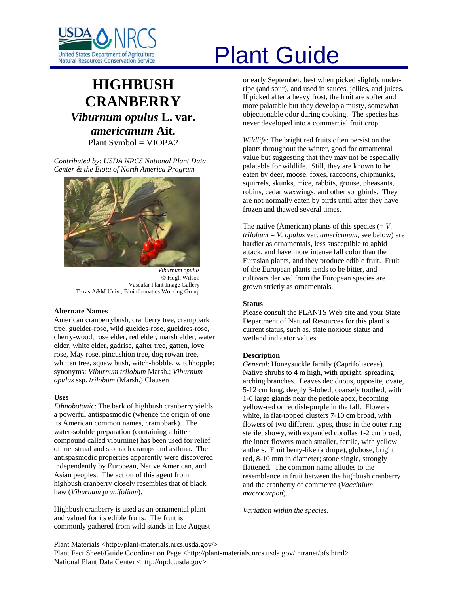

# **HIGHBUSH CRANBERRY** *Viburnum opulus* **L. var.**  *americanum* **Ait.**  Plant Symbol = VIOPA2

*Contributed by: USDA NRCS National Plant Data Center & the Biota of North America Program* 



*Viburnum opulus*  © Hugh Wilson Vascular Plant Image Gallery Texas A&M Univ., Bioinformatics Working Group

#### **Alternate Names**

American cranberrybush, cranberry tree, crampbark tree, guelder-rose, wild gueldes-rose, gueldres-rose, cherry-wood, rose elder, red elder, marsh elder, water elder, white elder, gadrise, gaiter tree, gatten, love rose, May rose, pincushion tree, dog rowan tree, whitten tree, squaw bush, witch-hobble, witchhopple; synonyms: *Viburnum trilobum* Marsh.; *Viburnum opulus* ssp. *trilobum* (Marsh.) Clausen

#### **Uses**

*Ethnobotanic*: The bark of highbush cranberry yields a powerful antispasmodic (whence the origin of one its American common names, crampbark). The water-soluble preparation (containing a bitter compound called viburnine) has been used for relief of menstrual and stomach cramps and asthma. The antispasmodic properties apparently were discovered independently by European, Native American, and Asian peoples. The action of this agent from highbush cranberry closely resembles that of black haw (*Viburnum prunifolium*).

Highbush cranberry is used as an ornamental plant and valued for its edible fruits. The fruit is commonly gathered from wild stands in late August

# United States Department of Agriculture<br>Natural Resources Conservation Service

or early September, best when picked slightly underripe (and sour), and used in sauces, jellies, and juices. If picked after a heavy frost, the fruit are softer and more palatable but they develop a musty, somewhat objectionable odor during cooking. The species has never developed into a commercial fruit crop.

*Wildlife*: The bright red fruits often persist on the plants throughout the winter, good for ornamental value but suggesting that they may not be especially palatable for wildlife. Still, they are known to be eaten by deer, moose, foxes, raccoons, chipmunks, squirrels, skunks, mice, rabbits, grouse, pheasants, robins, cedar waxwings, and other songbirds. They are not normally eaten by birds until after they have frozen and thawed several times.

The native (American) plants of this species  $(= V.$ *trilobum* = *V. opulus* var. *americanum*, see below) are hardier as ornamentals, less susceptible to aphid attack, and have more intense fall color than the Eurasian plants, and they produce edible fruit. Fruit of the European plants tends to be bitter, and cultivars derived from the European species are grown strictly as ornamentals.

#### **Status**

Please consult the PLANTS Web site and your State Department of Natural Resources for this plant's current status, such as, state noxious status and wetland indicator values.

#### **Description**

*General*: Honeysuckle family (Caprifoliaceae). Native shrubs to 4 m high, with upright, spreading, arching branches. Leaves deciduous, opposite, ovate, 5-12 cm long, deeply 3-lobed, coarsely toothed, with 1-6 large glands near the petiole apex, becoming yellow-red or reddish-purple in the fall. Flowers white, in flat-topped clusters 7-10 cm broad, with flowers of two different types, those in the outer ring sterile, showy, with expanded corollas 1-2 cm broad, the inner flowers much smaller, fertile, with yellow anthers. Fruit berry-like (a drupe), globose, bright red, 8-10 mm in diameter; stone single, strongly flattened. The common name alludes to the resemblance in fruit between the highbush cranberry and the cranberry of commerce (*Vaccinium macrocarpon*).

*Variation within the species*.

Plant Materials <http://plant-materials.nrcs.usda.gov/> Plant Fact Sheet/Guide Coordination Page <http://plant-materials.nrcs.usda.gov/intranet/pfs.html> National Plant Data Center <http://npdc.usda.gov>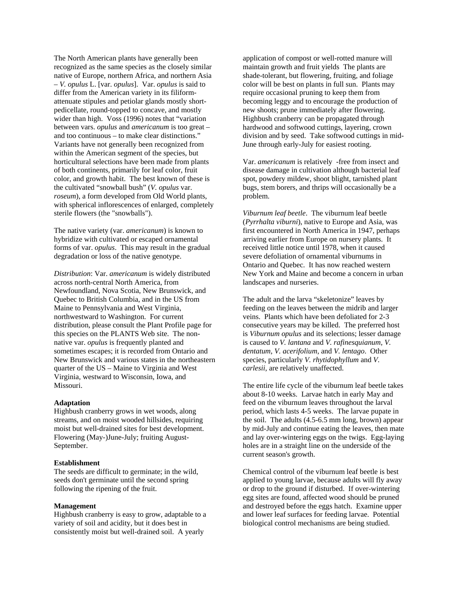The North American plants have generally been recognized as the same species as the closely similar native of Europe, northern Africa, and northern Asia – *V. opulus* L. [var. *opulus*]. Var. *opulus* is said to differ from the American variety in its filiformattenuate stipules and petiolar glands mostly shortpedicellate, round-topped to concave, and mostly wider than high. Voss (1996) notes that "variation between vars. *opulus* and *americanum* is too great – and too continuous – to make clear distinctions." Variants have not generally been recognized from within the American segment of the species, but horticultural selections have been made from plants of both continents, primarily for leaf color, fruit color, and growth habit. The best known of these is the cultivated "snowball bush" (*V. opulus* var. *roseum*), a form developed from Old World plants, with spherical inflorescences of enlarged, completely sterile flowers (the "snowballs").

The native variety (var. *americanum*) is known to hybridize with cultivated or escaped ornamental forms of var. *opulus*. This may result in the gradual degradation or loss of the native genotype.

*Distribution*: Var. *americanum* is widely distributed across north-central North America, from Newfoundland, Nova Scotia, New Brunswick, and Quebec to British Columbia, and in the US from Maine to Pennsylvania and West Virginia, northwestward to Washington. For current distribution, please consult the Plant Profile page for this species on the PLANTS Web site. The nonnative var. *opulus* is frequently planted and sometimes escapes; it is recorded from Ontario and New Brunswick and various states in the northeastern quarter of the US – Maine to Virginia and West Virginia, westward to Wisconsin, Iowa, and Missouri.

#### **Adaptation**

Highbush cranberry grows in wet woods, along streams, and on moist wooded hillsides, requiring moist but well-drained sites for best development. Flowering (May-)June-July; fruiting August-September.

#### **Establishment**

The seeds are difficult to germinate; in the wild, seeds don't germinate until the second spring following the ripening of the fruit.

# **Management**

Highbush cranberry is easy to grow, adaptable to a variety of soil and acidity, but it does best in consistently moist but well-drained soil. A yearly

application of compost or well-rotted manure will maintain growth and fruit yields The plants are shade-tolerant, but flowering, fruiting, and foliage color will be best on plants in full sun. Plants may require occasional pruning to keep them from becoming leggy and to encourage the production of new shoots; prune immediately after flowering. Highbush cranberry can be propagated through hardwood and softwood cuttings, layering, crown division and by seed. Take softwood cuttings in mid-June through early-July for easiest rooting.

Var. *americanum* is relatively -free from insect and disease damage in cultivation although bacterial leaf spot, powdery mildew, shoot blight, tarnished plant bugs, stem borers, and thrips will occasionally be a problem.

*Viburnum leaf beetle*. The viburnum leaf beetle (*Pyrrhalta viburni*), native to Europe and Asia, was first encountered in North America in 1947, perhaps arriving earlier from Europe on nursery plants. It received little notice until 1978, when it caused severe defoliation of ornamental viburnums in Ontario and Quebec. It has now reached western New York and Maine and become a concern in urban landscapes and nurseries.

The adult and the larva "skeletonize" leaves by feeding on the leaves between the midrib and larger veins. Plants which have been defoliated for 2-3 consecutive years may be killed. The preferred host is *Viburnum opulus* and its selections; lesser damage is caused to *V. lantana* and *V. rafinesquianum*, *V. dentatum*, *V. acerifolium*, and *V. lentago*. Other species, particularly *V. rhytidophyllum* and *V. carlesii*, are relatively unaffected.

The entire life cycle of the viburnum leaf beetle takes about 8-10 weeks. Larvae hatch in early May and feed on the viburnum leaves throughout the larval period, which lasts 4-5 weeks. The larvae pupate in the soil. The adults (4.5-6.5 mm long, brown) appear by mid-July and continue eating the leaves, then mate and lay over-wintering eggs on the twigs. Egg-laying holes are in a straight line on the underside of the current season's growth.

Chemical control of the viburnum leaf beetle is best applied to young larvae, because adults will fly away or drop to the ground if disturbed. If over-wintering egg sites are found, affected wood should be pruned and destroyed before the eggs hatch. Examine upper and lower leaf surfaces for feeding larvae. Potential biological control mechanisms are being studied.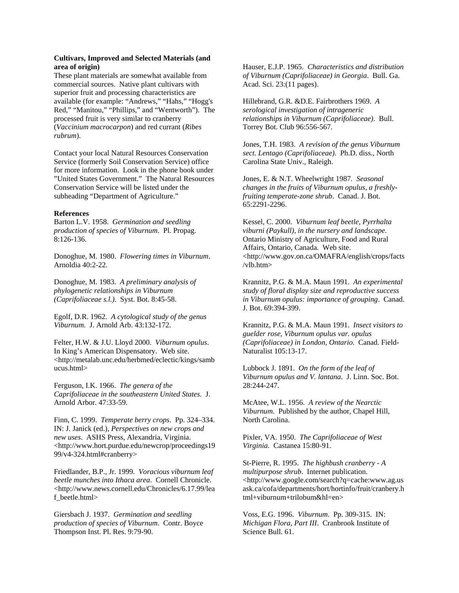# **Cultivars, Improved and Selected Materials (and area of origin)**

These plant materials are somewhat available from commercial sources. Native plant cultivars with superior fruit and processing characteristics are available (for example: "Andrews," "Hahs," "Hogg's Red," "Manitou," "Phillips," and "Wentworth"). The processed fruit is very similar to cranberry (*Vaccinium macrocarpon*) and red currant (*Ribes rubrum*).

Contact your local Natural Resources Conservation Service (formerly Soil Conservation Service) office for more information. Look in the phone book under "United States Government." The Natural Resources Conservation Service will be listed under the subheading "Department of Agriculture."

#### **References**

Barton L.V. 1958. *Germination and seedling production of species of Viburnum*. Pl. Propag. 8:126-136.

Donoghue, M. 1980. *Flowering times in Viburnum*. Arnoldia 40:2-22.

Donoghue, M. 1983. *A preliminary analysis of phylogenetic relationships in Viburnum (Caprifoliaceae s.l.)*. Syst. Bot. 8:45-58.

Egolf, D.R. 1962. *A cytological study of the genus Viburnum*. J. Arnold Arb. 43:132-172.

Felter, H.W. & J.U. Lloyd 2000. *Viburnum opulus*. In King's American Dispensatory. Web site. <http://metalab.unc.edu/herbmed/eclectic/kings/samb ucus.html>

Ferguson, I.K. 1966. *The genera of the Caprifoliaceae in the southeastern United States*. J. Arnold Arbor. 47:33-59.

Finn, C. 1999. *Temperate berry crops*. Pp. 324–334. IN: J. Janick (ed.), *Perspectives on new crops and new uses*. ASHS Press, Alexandria, Virginia. <http://www.hort.purdue.edu/newcrop/proceedings19 99/v4-324.html#cranberry>

Friedlander, B.P., Jr. 1999. *Voracious viburnum leaf beetle munches into Ithaca area*. Cornell Chronicle. <http://www.news.cornell.edu/Chronicles/6.17.99/lea f\_beetle.html>

Giersbach J. 1937. *Germination and seedling production of species of Viburnum*. Contr. Boyce Thompson Inst. Pl. Res. 9:79-90.

Hauser, E.J.P. 1965. *Characteristics and distribution of Viburnum (Caprifoliaceae) in Georgia*. Bull. Ga. Acad. Sci. 23:(11 pages).

Hillebrand, G.R. &D.E. Fairbrothers 1969. *A serological investigation of intrageneric relationships in Viburnum (Caprifoliaceae)*. Bull. Torrey Bot. Club 96:556-567.

Jones, T.H. 1983. *A revision of the genus Viburnum sect. Lentago (Caprifoliaceae)*. Ph.D. diss., North Carolina State Univ., Raleigh.

Jones, E. & N.T. Wheelwright 1987*. Seasonal changes in the fruits of Viburnum opulus, a freshlyfruiting temperate-zone shrub*. Canad. J. Bot. 65:2291-2296.

Kessel, C. 2000. *Viburnum leaf beetle, Pyrrhalta viburni (Paykull), in the nursery and landscape*. Ontario Ministry of Agriculture, Food and Rural Affairs, Ontario, Canada. Web site. <http://www.gov.on.ca/OMAFRA/english/crops/facts /vlb.htm>

Krannitz, P.G. & M.A. Maun 1991. *An experimental study of floral display size and reproductive success in Viburnum opulus: importance of grouping*. Canad. J. Bot. 69:394-399.

Krannitz, P.G. & M.A. Maun 1991. *Insect visitors to guelder rose, Viburnum opulus var. opulus (Caprifoliaceae) in London, Ontario*. Canad. Field-Naturalist 105:13-17.

Lubbock J. 1891. *On the form of the leaf of Viburnum opulus and V. lantana*. J. Linn. Soc. Bot. 28:244-247.

McAtee, W.L. 1956. *A review of the Nearctic Viburnum*. Published by the author, Chapel Hill, North Carolina.

Pixler, VA. 1950. *The Caprifoliaceae of West Virginia*. Castanea 15:80-91.

St-Pierre, R. 1995. *The highbush cranberry - A multipurpose shrub*. Internet publication. <http://www.google.com/search?q=cache:www.ag.us ask.ca/cofa/departments/hort/hortinfo/fruit/cranbery.h tml+viburnum+trilobum&hl=en>

Voss, E.G. 1996. *Viburnum*. Pp. 309-315. IN: *Michigan Flora, Part III*. Cranbrook Institute of Science Bull. 61.